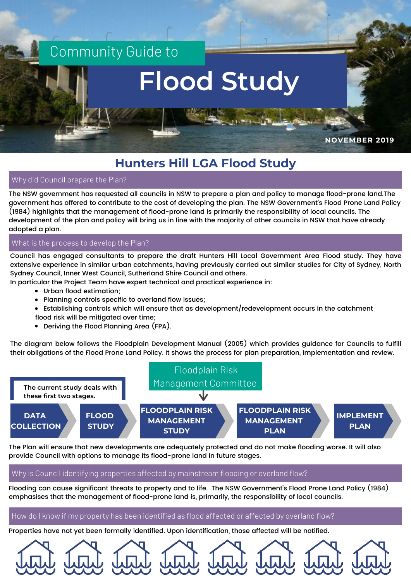

# **Hunters Hill LGA Flood Study**

Why did Council prepare the Plan?

The NSW government has requested all councils in NSW to prepare a plan and policy to manage flood-prone land.The government has offered to contribute to the cost of developing the plan. The NSW Government's Flood Prone Land Policy (1984) highlights that the management of flood-prone land is primarily the responsibility of local councils. The development of the plan and policy will bring us in line with the majority of other councils in NSW that have already adopted a plan.

#### What is the process to develop the Plan?

Council has engaged consultants to prepare the draft Hunters Hill Local Government Area Flood study. They have extensive experience in similar urban catchments, having previously carried out similar studies for City of Sydney, North Sydney Council, Inner West Council, Sutherland Shire Council and others.

In particular the Project Team have expert technical and practical experience in:

- Urban flood estimation;
- Planning controls specific to overland flow issues;
- Establishing controls which will ensure that as development/redevelopment occurs in the catchment flood risk will be mitigated over time;
- Deriving the Flood Planning Area (FPA).

The diagram below follows the Floodplain Development Manual (2005) which provides guidance for Councils to fulfill their obligations of the Flood Prone Land Policy. It shows the process for plan preparation, implementation and review.



The Plan will ensure that new developments are adequately protected and do not make flooding worse. It will also provide Council with options to manage its flood-prone land in future stages.

#### Why is Council identifying properties affected by mainstream flooding or overland flow?

Flooding can cause significant threats to property and to life. The NSW Government's Flood Prone Land Policy (1984) emphasises that the management of flood-prone land is, primarily, the responsibility of local councils.

#### How do I know if my property has been identified as flood affected or affected by overland flow?

Properties have not yet been formally identified. Upon identification, those affected will be notified.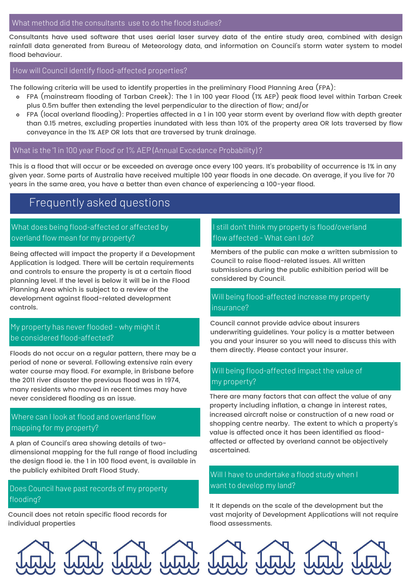#### What method did the consultants use to do the flood studies?

Consultants have used software that uses aerial laser survey data of the entire study area, combined with design rainfall data generated from Bureau of Meteorology data, and information on Council's storm water system to model flood behaviour.

#### How will Council identify flood-affected properties?

The following criteria will be used to identify properties in the preliminary Flood Planning Area (FPA):

- FPA (mainstream flooding of Tarban Creek): The 1 in 100 year Flood (1% AEP) peak flood level within Tarban Creek plus 0.5m buffer then extending the level perpendicular to the direction of flow; and/or
- FPA (local overland flooding): Properties affected in a 1 in 100 year storm event by overland flow with depth greater  $\circ$ than 0.15 metres, excluding properties inundated with less than 10% of the property area OR lots traversed by flow conveyance in the 1% AEP OR lots that are traversed by trunk drainage.

#### What is the '1 in 100 year Flood' or 1% AEP (Annual Excedance Probability) ?

This is a flood that will occur or be exceeded on average once every 100 years. It's probability of occurrence is 1% in any given year. Some parts of Australia have received multiple 100 year floods in one decade. On average, if you live for 70 years in the same area, you have a better than even chance of experiencing a 100-year flood.

# Frequently asked questions

## What does being flood-affected or affected by overland flow mean for my property?

Being affected will impact the property if a Development Application is lodged. There will be certain requirements and controls to ensure the property is at a certain flood planning level. If the level is below it will be in the Flood Planning Area which is subject to a review of the development against flood-related development controls.

# My property has never flooded - why might it be considered flood-affected?

Floods do not occur on a regular pattern, there may be a period of none or several. Following extensive rain every water course may flood. For example, in Brisbane before the 2011 river disaster the previous flood was in 1974, many residents who moved in recent times may have never considered flooding as an issue.

# Where can I look at flood and overland flow mapping for my property?

A plan of Council's area showing details of twodimensional mapping for the full range of flood including the design flood ie. the 1 in 100 flood event, is available in the publicly exhibited Draft Flood Study.

#### Does Council have past records of my property flooding?

Council does not retain specific flood records for individual properties

#### I still don't think my property is flood/overland flow affected - What can I do?

Members of the public can make a written submission to Council to raise flood-related issues. All written submissions during the public exhibition period will be considered by Council.

#### Will being flood-affected increase my property insurance?

Council cannot provide advice about insurers underwriting guidelines. Your policy is a matter between you and your insurer so you will need to discuss this with them directly. Please contact your insurer.

#### Will being flood-affected impact the value of my property?

There are many factors that can affect the value of any property including inflation, a change in interest rates, increased aircraft noise or construction of a new road or shopping centre nearby. The extent to which a property's value is affected once it has been identified as floodaffected or affected by overland cannot be objectively ascertained.

## Will I have to undertake a flood study when I want to develop my land?

It It depends on the scale of the development but the vast majority of Development Applications will not require flood assessments.